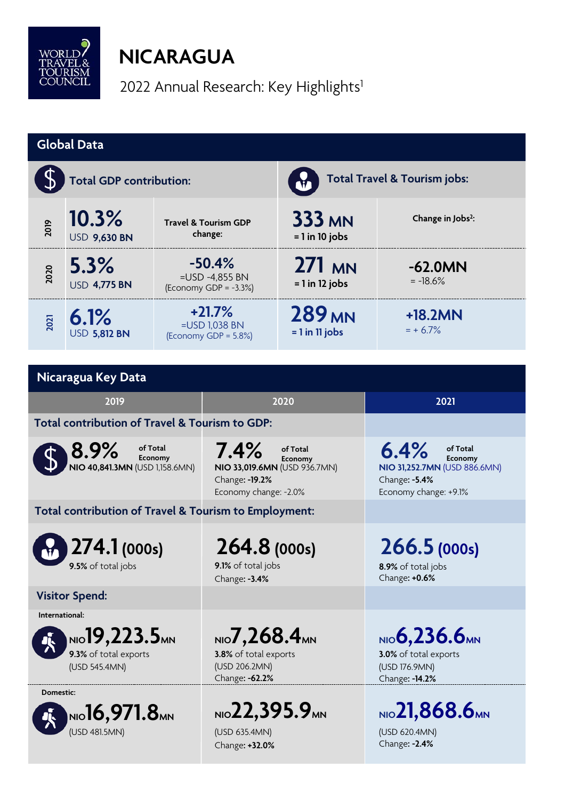

## **NICARAGUA**

2022 Annual Research: Key Highlights<sup>1</sup>

| <b>Global Data</b>                                                    |                                                                             |                                                           |                                                                                                         |                                   |                                                                                                       |  |  |
|-----------------------------------------------------------------------|-----------------------------------------------------------------------------|-----------------------------------------------------------|---------------------------------------------------------------------------------------------------------|-----------------------------------|-------------------------------------------------------------------------------------------------------|--|--|
| <b>Total GDP contribution:</b>                                        |                                                                             |                                                           |                                                                                                         | Total Travel & Tourism jobs:      |                                                                                                       |  |  |
| 2019                                                                  | 10.3%<br><b>USD 9,630 BN</b>                                                | <b>Travel &amp; Tourism GDP</b><br>change:                |                                                                                                         | <b>333 MN</b><br>$= 1$ in 10 jobs | Change in Jobs <sup>2</sup> :                                                                         |  |  |
| 2020                                                                  | 5.3%<br><b>USD 4,775 BN</b>                                                 | $-50.4%$<br>$=$ USD -4,855 BN<br>(Economy GDP = $-3.3%$ ) |                                                                                                         | $271$ MN<br>$= 1$ in 12 jobs      | $-62.0MN$<br>$= -18.6%$                                                                               |  |  |
| 2021                                                                  | 6.1%<br><b>USD 5,812 BN</b>                                                 | $+21.7%$<br>=USD 1,038 BN<br>(Economy GDP = 5.8%)         |                                                                                                         | <b>289 MN</b><br>$= 1$ in 11 jobs | $+18.2MN$<br>$= + 6.7\%$                                                                              |  |  |
|                                                                       |                                                                             |                                                           |                                                                                                         |                                   |                                                                                                       |  |  |
| Nicaragua Key Data                                                    |                                                                             |                                                           |                                                                                                         |                                   |                                                                                                       |  |  |
| 2019                                                                  |                                                                             |                                                           | 2020                                                                                                    |                                   | 2021                                                                                                  |  |  |
| Total contribution of Travel & Tourism to GDP:                        |                                                                             |                                                           |                                                                                                         |                                   |                                                                                                       |  |  |
| 8.9%<br>of Total<br>Economy<br>NIO 40,841.3MN (USD 1,158.6MN)         |                                                                             |                                                           | 7.4%<br>of Total<br>Economy<br>NIO 33,019.6MN (USD 936.7MN)<br>Change: - 19.2%<br>Economy change: -2.0% |                                   | 6.4%<br>of Total<br>Economy<br>NIO 31,252.7MN (USD 886.6MN)<br>Change: -5.4%<br>Economy change: +9.1% |  |  |
| Total contribution of Travel & Tourism to Employment:                 |                                                                             |                                                           |                                                                                                         |                                   |                                                                                                       |  |  |
| 274.1 (000s)<br>9.5% of total jobs                                    |                                                                             |                                                           | 264.8 (000s)<br>9.1% of total jobs<br>Change: -3.4%                                                     |                                   | 266.5(000s)<br>8.9% of total jobs<br>Change: +0.6%                                                    |  |  |
| <b>Visitor Spend:</b>                                                 |                                                                             |                                                           |                                                                                                         |                                   |                                                                                                       |  |  |
| International:                                                        |                                                                             |                                                           |                                                                                                         |                                   |                                                                                                       |  |  |
| NIO 19, 223.5 <sub>MN</sub><br>9.3% of total exports<br>(USD 545.4MN) |                                                                             |                                                           | NIO $7,268.4$ MN<br>3.8% of total exports<br>(USD 206.2MN)<br>Change: -62.2%                            |                                   | $NIO$ 6,236.6 $MNI$<br>3.0% of total exports<br>(USD 176.9MN)<br>Change: - 14.2%                      |  |  |
| Domestic:                                                             | $_{\textrm{\tiny{NIO}}}$ 16,971.8 $_{\textrm{\tiny{MIN}}}$<br>(USD 481.5MN) |                                                           | NIO 22, 395.9 MN<br>(USD 635.4MN)<br>Change: +32.0%                                                     |                                   | NIO 21,868.6MN<br>(USD 620.4MN)<br>Change: - 2.4%                                                     |  |  |